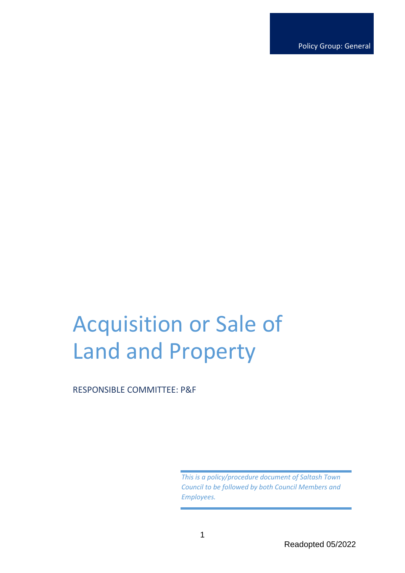Policy Group: General

# Acquisition or Sale of Land and Property

RESPONSIBLE COMMITTEE: P&F

*This is a policy/procedure document of Saltash Town Council to be followed by both Council Members and Employees.*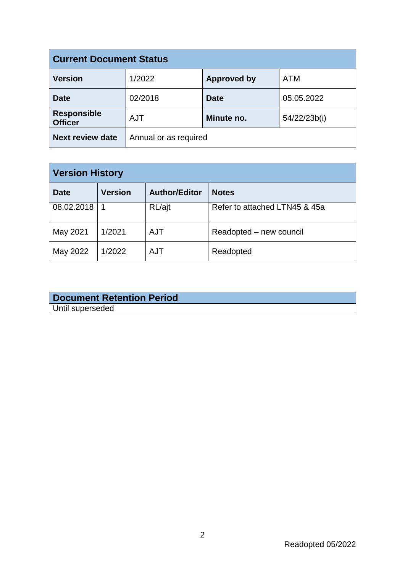| <b>Current Document Status</b>       |                       |                    |              |  |
|--------------------------------------|-----------------------|--------------------|--------------|--|
| <b>Version</b>                       | 1/2022                | <b>Approved by</b> | <b>ATM</b>   |  |
| <b>Date</b>                          | 02/2018               | <b>Date</b>        | 05.05.2022   |  |
| <b>Responsible</b><br><b>Officer</b> | <b>AJT</b>            | Minute no.         | 54/22/23b(i) |  |
| <b>Next review date</b>              | Annual or as required |                    |              |  |

| <b>Version History</b> |                |                      |                               |  |
|------------------------|----------------|----------------------|-------------------------------|--|
| <b>Date</b>            | <b>Version</b> | <b>Author/Editor</b> | <b>Notes</b>                  |  |
| 08.02.2018             |                | RL/ajt               | Refer to attached LTN45 & 45a |  |
| May 2021               | 1/2021         | <b>AJT</b>           | Readopted – new council       |  |
| May 2022               | 1/2022         | <b>AJT</b>           | Readopted                     |  |

| <b>Document Retention Period</b> |  |
|----------------------------------|--|
| Until superseded                 |  |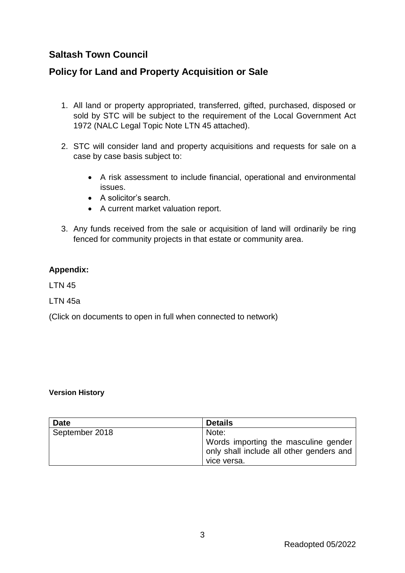# **Saltash Town Council**

# **Policy for Land and Property Acquisition or Sale**

- 1. All land or property appropriated, transferred, gifted, purchased, disposed or sold by STC will be subject to the requirement of the Local Government Act 1972 (NALC Legal Topic Note LTN 45 attached).
- 2. STC will consider land and property acquisitions and requests for sale on a case by case basis subject to:
	- A risk assessment to include financial, operational and environmental issues.
	- A solicitor's search.
	- A current market valuation report.
- 3. Any funds received from the sale or acquisition of land will ordinarily be ring fenced for community projects in that estate or community area.

### **Appendix:**

LTN 45

LTN 45a

(Click on documents to open in full when connected to network)

#### **Version History**

| <b>Date</b>    | <b>Details</b>                           |
|----------------|------------------------------------------|
| September 2018 | Note:                                    |
|                | Words importing the masculine gender     |
|                | only shall include all other genders and |
|                | vice versa.                              |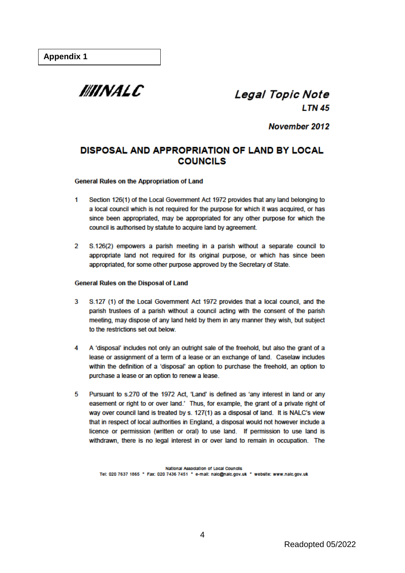

# Legal Topic Note **LTN 45**

November 2012

## DISPOSAL AND APPROPRIATION OF LAND BY LOCAL **COUNCILS**

#### General Rules on the Appropriation of Land

- Section 126(1) of the Local Government Act 1972 provides that any land belonging to 1 a local council which is not required for the purpose for which it was acquired, or has since been appropriated, may be appropriated for any other purpose for which the council is authorised by statute to acquire land by agreement.
- S.126(2) empowers a parish meeting in a parish without a separate council to  $\mathcal{D}$ appropriate land not required for its original purpose, or which has since been appropriated, for some other purpose approved by the Secretary of State.

#### **General Rules on the Disposal of Land**

- $\overline{\mathbf{3}}$ S.127 (1) of the Local Government Act 1972 provides that a local council, and the parish trustees of a parish without a council acting with the consent of the parish meeting, may dispose of any land held by them in any manner they wish, but subject to the restrictions set out below.
- A 'disposal' includes not only an outright sale of the freehold, but also the grant of a 4 lease or assignment of a term of a lease or an exchange of land. Caselaw includes within the definition of a 'disposal' an option to purchase the freehold, an option to purchase a lease or an option to renew a lease.
- Pursuant to s.270 of the 1972 Act, 'Land' is defined as 'any interest in land or any Б. easement or right to or over land.' Thus, for example, the grant of a private right of way over council land is treated by s. 127(1) as a disposal of land. It is NALC's view that in respect of local authorities in England, a disposal would not however include a licence or permission (written or oral) to use land. If permission to use land is withdrawn, there is no legal interest in or over land to remain in occupation. The